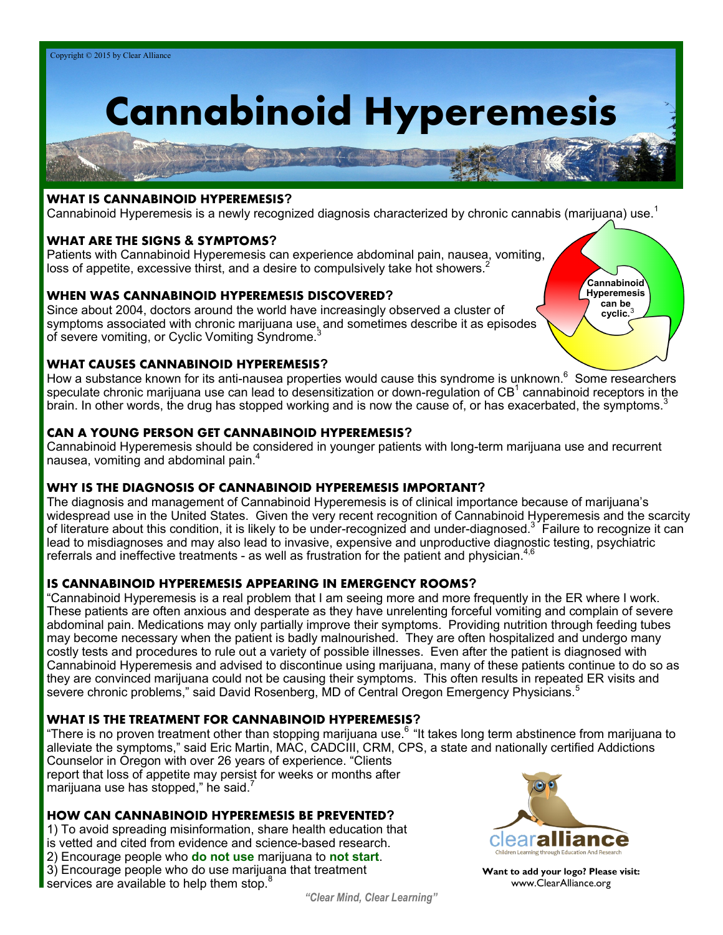# **Cannabinoid Hyperemesis**

## **WHAT IS CANNABINOID HYPEREMESIS?**

Cannabinoid Hyperemesis is a newly recognized diagnosis characterized by chronic cannabis (marijuana) use.<sup>1</sup>

#### **WHAT ARE THE SIGNS & SYMPTOMS?**

Patients with Cannabinoid Hyperemesis can experience abdominal pain, nausea, vomiting, loss of appetite, excessive thirst, and a desire to compulsively take hot showers.<sup>2</sup>

#### **WHEN WAS CANNABINOID HYPEREMESIS DISCOVERED?**

Since about 2004, doctors around the world have increasingly observed a cluster of symptoms associated with chronic marijuana use, and sometimes describe it as episodes of severe vomiting, or Cyclic Vomiting Syndrome. $3$ 

#### **WHAT CAUSES CANNABINOID HYPEREMESIS?**

How a substance known for its anti-nausea properties would cause this syndrome is unknown.<sup>6</sup> Some researchers speculate chronic marijuana use can lead to desensitization or down-regulation of CB<sup>1</sup> cannabinoid receptors in the brain. In other words, the drug has stopped working and is now the cause of, or has exacerbated, the symptoms. $3$ 

#### **CAN A YOUNG PERSON GET CANNABINOID HYPEREMESIS?**

Cannabinoid Hyperemesis should be considered in younger patients with long-term marijuana use and recurrent nausea, vomiting and abdominal pain.<sup>4</sup>

#### **WHY IS THE DIAGNOSIS OF CANNABINOID HYPEREMESIS IMPORTANT?**

The diagnosis and management of Cannabinoid Hyperemesis is of clinical importance because of marijuana's widespread use in the United States. Given the very recent recognition of Cannabinoid Hyperemesis and the scarcity of literature about this condition, it is likely to be under-recognized and under-diagnosed.<sup>3 F</sup>ailure to recognize it can lead to misdiagnoses and may also lead to invasive, expensive and unproductive diagnostic testing, psychiatric referrals and ineffective treatments - as well as frustration for the patient and physician.<sup>4</sup>

## **IS CANNABINOID HYPEREMESIS APPEARING IN EMERGENCY ROOMS?**

"Cannabinoid Hyperemesis is a real problem that I am seeing more and more frequently in the ER where I work. These patients are often anxious and desperate as they have unrelenting forceful vomiting and complain of severe abdominal pain. Medications may only partially improve their symptoms. Providing nutrition through feeding tubes may become necessary when the patient is badly malnourished. They are often hospitalized and undergo many costly tests and procedures to rule out a variety of possible illnesses. Even after the patient is diagnosed with Cannabinoid Hyperemesis and advised to discontinue using marijuana, many of these patients continue to do so as they are convinced marijuana could not be causing their symptoms. This often results in repeated ER visits and severe chronic problems," said David Rosenberg, MD of Central Oregon Emergency Physicians.<sup>5</sup>

#### **WHAT IS THE TREATMENT FOR CANNABINOID HYPEREMESIS?**

"There is no proven treatment other than stopping marijuana use.<sup>6</sup> "It takes long term abstinence from marijuana to alleviate the symptoms," said Eric Martin, MAC, CADCIII, CRM, CPS, a state and nationally certified Addictions Counselor in Oregon with over 26 years of experience. "Clients report that loss of appetite may persist for weeks or months after

marijuana use has stopped," he said.

#### **HOW CAN CANNABINOID HYPEREMESIS BE PREVENTED?**

1) To avoid spreading misinformation, share health education that is vetted and cited from evidence and science-based research. 2) Encourage people who **do not use** marijuana to **not start**. 3) Encourage people who do use marijuana that treatment services are available to help them stop.<sup>8</sup>



**Cannabinoid Hyperemesis can be cyclic.**<sup>3</sup>

**Want to add your logo? Please visit:**  www.ClearAlliance.org

*"Clear Mind, Clear Learning"*